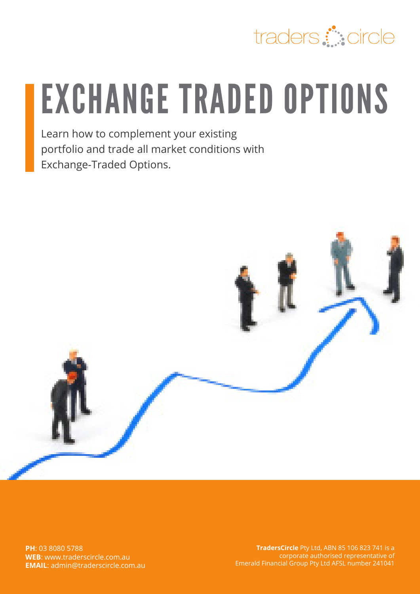

# EXCHANGE TRADED OPTIONS

Learn how to complement your existing portfolio and trade all market conditions with Exchange-Traded Options.



**PH:** 03 8080 5788 **PH**: 03 8080 5788 **WEB:** www.traderscircle.com.au **WEB**: www.traderscircle.com.au **EMAIL:** admin@traderscircle.com.au **EMAIL**: admin@traderscircle.com.au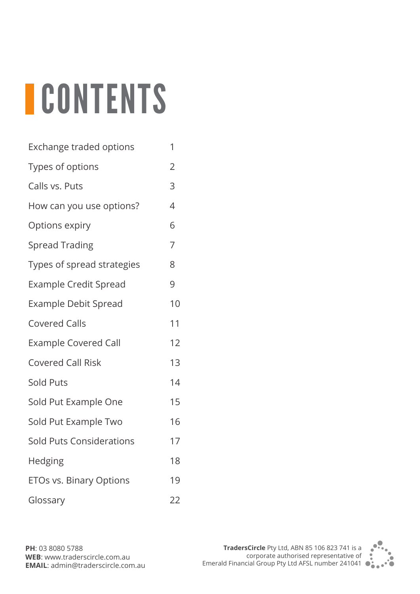# **CONTENTS**

| Exchange traded options         | 1              |
|---------------------------------|----------------|
| Types of options                | $\overline{2}$ |
| Calls vs. Puts                  | 3              |
| How can you use options?        | 4              |
| Options expiry                  | 6              |
| <b>Spread Trading</b>           | 7              |
| Types of spread strategies      | 8              |
| <b>Example Credit Spread</b>    | 9              |
| <b>Example Debit Spread</b>     | 10             |
| <b>Covered Calls</b>            | 11             |
| <b>Example Covered Call</b>     | 12             |
| <b>Covered Call Risk</b>        | 13             |
| <b>Sold Puts</b>                | 14             |
| Sold Put Example One            | 15             |
| Sold Put Example Two            | 16             |
| <b>Sold Puts Considerations</b> | 17             |
| Hedging                         | 18             |
| ETOs vs. Binary Options         | 19             |
| Glossary                        | 22             |

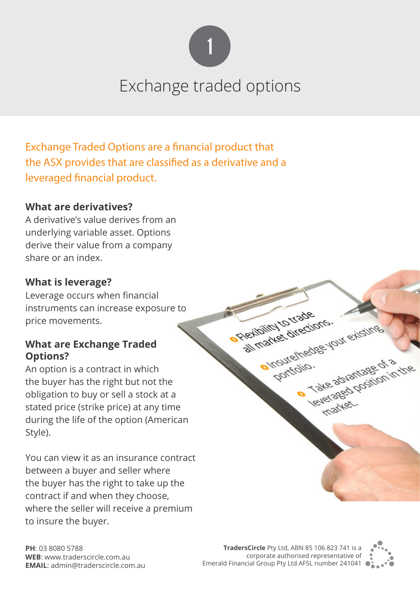

# Exchange traded options

Exchange Traded Options are a financial product that the ASX provides that are classified as a derivative and a leveraged financial product.

#### **What are derivatives?**

A derivative's value derives from an underlying variable asset. Options derive their value from a company share or an index.

#### **What is leverage?**

Leverage occurs when financial instruments can increase exposure to price movements.

#### **What are Exchange Traded Options?**

An option is a contract in which the buyer has the right but not the obligation to buy or sell a stock at a stated price (strike price) at any time during the life of the option (American Style).

You can view it as an insurance contract between a buyer and seller where the buyer has the right to take up the contract if and when they choose, where the seller will receive a premium to insure the buyer.



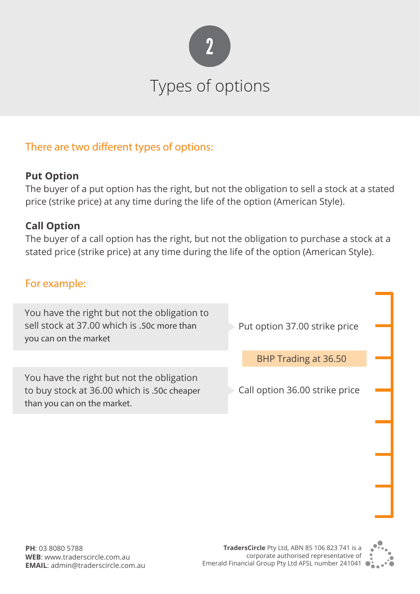

### There are two different types of options:

#### **Put Option**

The buyer of a put option has the right, but not the obligation to sell a stock at a stated price (strike price) at any time during the life of the option (American Style).

#### **Call Option**

The buyer of a call option has the right, but not the obligation to purchase a stock at a stated price (strike price) at any time during the life of the option (American Style).

### For example:

You have the right but not the obligation to sell stock at 37.00 which is .50c more than you can on the market

You have the right but not the obligation to buy stock at 36.00 which is .50c cheaper than you can on the market.

Put option 37.00 strike price

BHP Trading at 36.50

Call option 36.00 strike price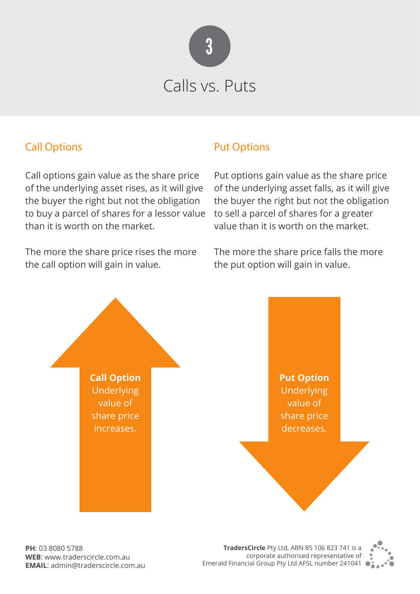

### Call Options

Call options gain value as the share price of the underlying asset rises, as it will give the buyer the right but not the obligation to buy a parcel of shares for a lessor value than it is worth on the market.

The more the share price rises the more the call option will gain in value.

### Put Options

Put options gain value as the share price of the underlying asset falls, as it will give the buyer the right but not the obligation to sell a parcel of shares for a greater value than it is worth on the market.

The more the share price falls the more the put option will gain in value.



**PH:** 03 8080 5788 **PH**: 03 8080 5788 **WEB:** www.traderscircle.com.au **WEB**: www.traderscircle.com.au **EMAIL:** admin@traderscircle.com.au **EMAIL**: admin@traderscircle.com.au

**TradersCircle** Pty Ltd, ABN 85 106 823 741 is a corporate authorised representative of Emerald Financial Group Pty Ltd AFSL number 241041

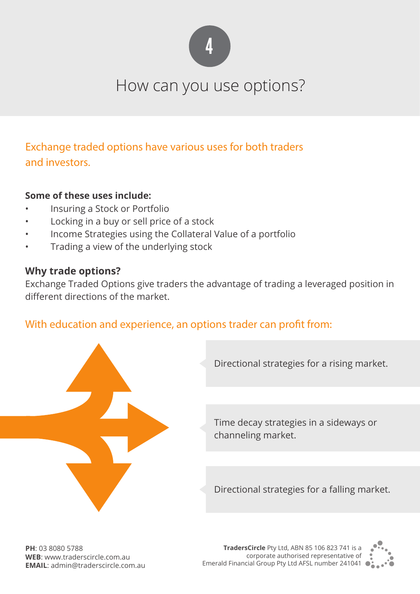

### How can you use options?

Exchange traded options have various uses for both traders and investors.

#### **Some of these uses include:**

- Insuring a Stock or Portfolio
- Locking in a buy or sell price of a stock
- Income Strategies using the Collateral Value of a portfolio
- Trading a view of the underlying stock

#### **Why trade options?**

Exchange Traded Options give traders the advantage of trading a leveraged position in different directions of the market.

#### With education and experience, an options trader can profit from:



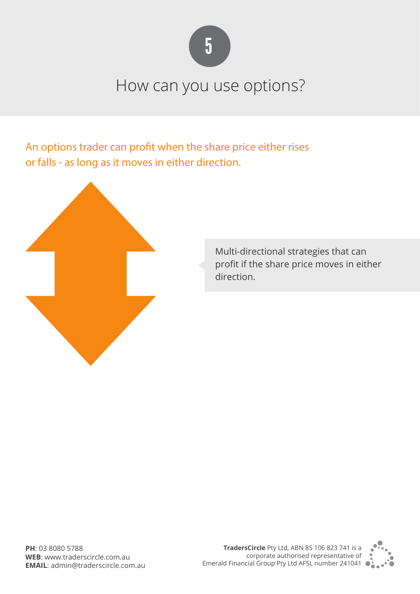

## How can you use options?

An options trader can profit when the share price either rises or falls - as long as it moves in either direction.



Multi-directional strategies that can profit if the share price moves in either direction.

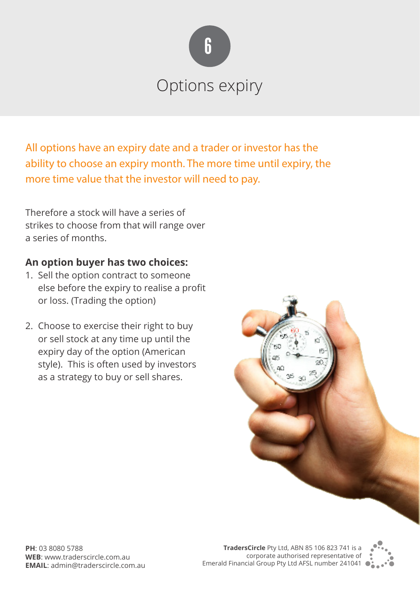

# Options expiry

All options have an expiry date and a trader or investor has the ability to choose an expiry month. The more time until expiry, the more time value that the investor will need to pay.

Therefore a stock will have a series of strikes to choose from that will range over a series of months.

#### **An option buyer has two choices:**

- 1. Sell the option contract to someone else before the expiry to realise a profit or loss. (Trading the option)
- 2. Choose to exercise their right to buy or sell stock at any time up until the expiry day of the option (American style). This is often used by investors as a strategy to buy or sell shares.



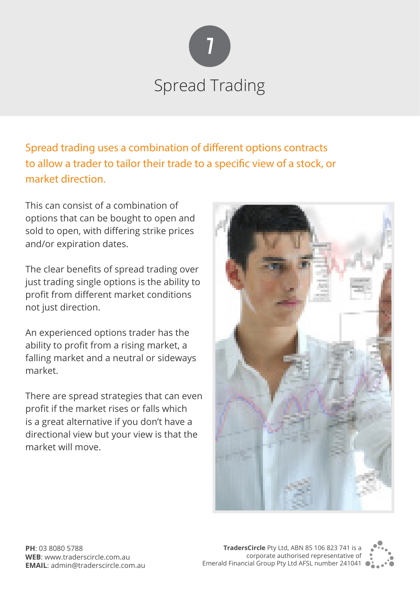

Spread trading uses a combination of different options contracts to allow a trader to tailor their trade to a specific view of a stock, or market direction.

This can consist of a combination of options that can be bought to open and sold to open, with differing strike prices and/or expiration dates.

The clear benefits of spread trading over just trading single options is the ability to profit from different market conditions not just direction.

An experienced options trader has the ability to profit from a rising market, a falling market and a neutral or sideways market.

There are spread strategies that can even profit if the market rises or falls which is a great alternative if you don't have a directional view but your view is that the market will move.



**TradersCircle** Pty Ltd, ABN 85 106 823 741 is a corporate authorised representative of Emerald Financial Group Pty Ltd AFSL number 241041

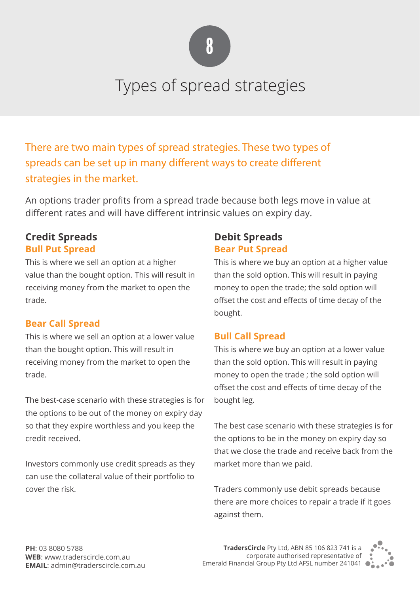

# Types of spread strategies

There are two main types of spread strategies. These two types of spreads can be set up in many different ways to create different strategies in the market.

An options trader profits from a spread trade because both legs move in value at different rates and will have different intrinsic values on expiry day.

#### **Credit Spreads Bull Put Spread**

This is where we sell an option at a higher value than the bought option. This will result in receiving money from the market to open the trade.

#### **Bear Call Spread**

This is where we sell an option at a lower value than the bought option. This will result in receiving money from the market to open the trade.

The best-case scenario with these strategies is for the options to be out of the money on expiry day so that they expire worthless and you keep the credit received.

Investors commonly use credit spreads as they can use the collateral value of their portfolio to cover the risk.

#### **Debit Spreads Bear Put Spread**

This is where we buy an option at a higher value than the sold option. This will result in paying money to open the trade; the sold option will offset the cost and effects of time decay of the bought.

#### **Bull Call Spread**

This is where we buy an option at a lower value than the sold option. This will result in paying money to open the trade ; the sold option will offset the cost and effects of time decay of the bought leg.

The best case scenario with these strategies is for the options to be in the money on expiry day so that we close the trade and receive back from the market more than we paid.

Traders commonly use debit spreads because there are more choices to repair a trade if it goes against them.

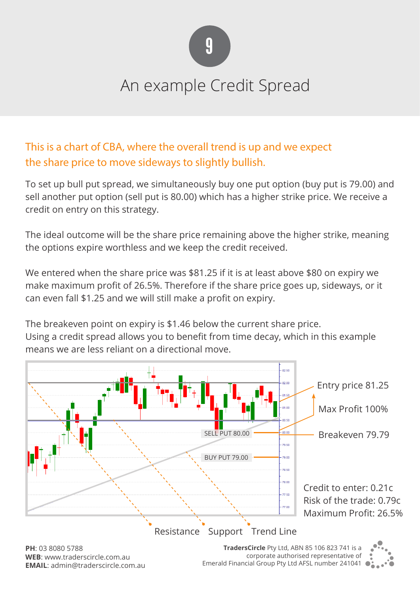

# An example Credit Spread

This is a chart of CBA, where the overall trend is up and we expect the share price to move sideways to slightly bullish.

To set up bull put spread, we simultaneously buy one put option (buy put is 79.00) and sell another put option (sell put is 80.00) which has a higher strike price. We receive a credit on entry on this strategy.

The ideal outcome will be the share price remaining above the higher strike, meaning the options expire worthless and we keep the credit received.

We entered when the share price was \$81.25 if it is at least above \$80 on expiry we make maximum profit of 26.5%. Therefore if the share price goes up, sideways, or it can even fall \$1.25 and we will still make a profit on expiry.

The breakeven point on expiry is \$1.46 below the current share price. Using a credit spread allows you to benefit from time decay, which in this example means we are less reliant on a directional move.

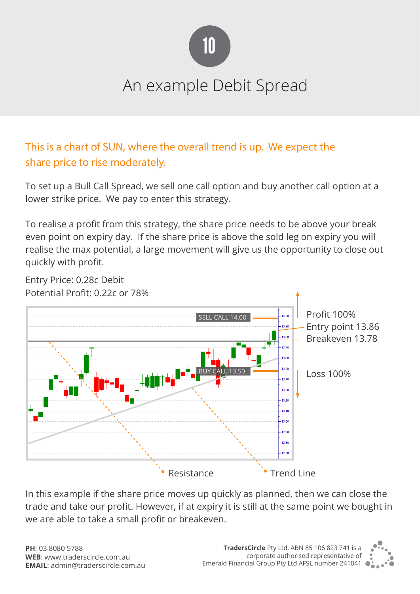

# An example Debit Spread

This is a chart of SUN, where the overall trend is up. We expect the share price to rise moderately.

To set up a Bull Call Spread, we sell one call option and buy another call option at a lower strike price. We pay to enter this strategy.

To realise a profit from this strategy, the share price needs to be above your break even point on expiry day. If the share price is above the sold leg on expiry you will realise the max potential, a large movement will give us the opportunity to close out quickly with profit.



In this example if the share price moves up quickly as planned, then we can close the trade and take our profit. However, if at expiry it is still at the same point we bought in we are able to take a small profit or breakeven.

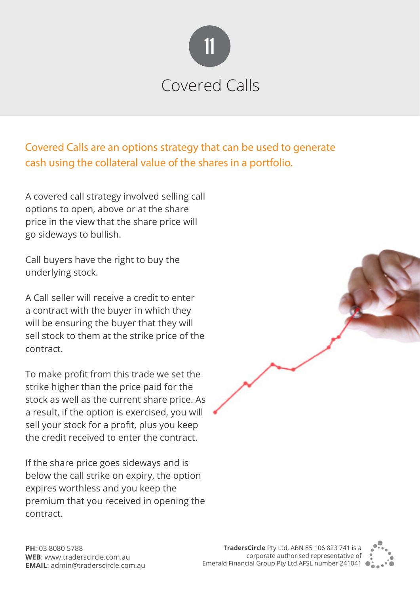

Covered Calls are an options strategy that can be used to generate cash using the collateral value of the shares in a portfolio.

A covered call strategy involved selling call options to open, above or at the share price in the view that the share price will go sideways to bullish.

Call buyers have the right to buy the underlying stock.

A Call seller will receive a credit to enter a contract with the buyer in which they will be ensuring the buyer that they will sell stock to them at the strike price of the contract.

To make profit from this trade we set the strike higher than the price paid for the stock as well as the current share price. As a result, if the option is exercised, you will sell your stock for a profit, plus you keep the credit received to enter the contract.

If the share price goes sideways and is below the call strike on expiry, the option expires worthless and you keep the premium that you received in opening the contract.



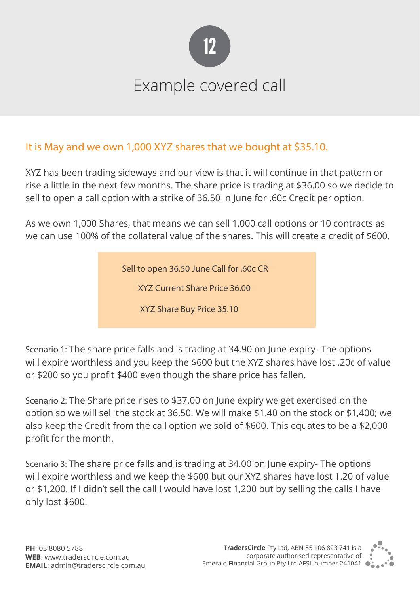

# Example covered call

### It is May and we own 1,000 XYZ shares that we bought at \$35.10.

XYZ has been trading sideways and our view is that it will continue in that pattern or rise a little in the next few months. The share price is trading at \$36.00 so we decide to sell to open a call option with a strike of 36.50 in June for .60c Credit per option.

As we own 1,000 Shares, that means we can sell 1,000 call options or 10 contracts as we can use 100% of the collateral value of the shares. This will create a credit of \$600.

Sell to open 36.50 June Call for .60c CR

XYZ Current Share Price 36.00

XYZ Share Buy Price 35.10

Scenario 1: The share price falls and is trading at 34.90 on June expiry- The options will expire worthless and you keep the \$600 but the XYZ shares have lost .20c of value or \$200 so you profit \$400 even though the share price has fallen.

Scenario 2: The Share price rises to \$37.00 on June expiry we get exercised on the option so we will sell the stock at 36.50. We will make \$1.40 on the stock or \$1,400; we also keep the Credit from the call option we sold of \$600. This equates to be a \$2,000 profit for the month.

Scenario 3: The share price falls and is trading at 34.00 on June expiry- The options will expire worthless and we keep the \$600 but our XYZ shares have lost 1.20 of value or \$1,200. If I didn't sell the call I would have lost 1,200 but by selling the calls I have only lost \$600.

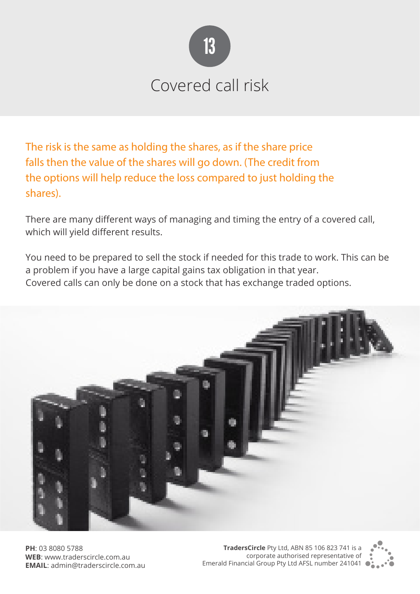

# Covered call risk

The risk is the same as holding the shares, as if the share price falls then the value of the shares will go down. (The credit from the options will help reduce the loss compared to just holding the shares).

There are many different ways of managing and timing the entry of a covered call, which will yield different results.

You need to be prepared to sell the stock if needed for this trade to work. This can be a problem if you have a large capital gains tax obligation in that year. Covered calls can only be done on a stock that has exchange traded options.



**PH:** 03 8080 5788 **PH**: 03 8080 5788 **WEB:** www.traderscircle.com.au **WEB**: www.traderscircle.com.au **EMAIL:** admin@traderscircle.com.au **EMAIL**: admin@traderscircle.com.au

**TradersCircle** Pty Ltd, ABN 85 106 823 741 is a corporate authorised representative of Emerald Financial Group Pty Ltd AFSL number 241041

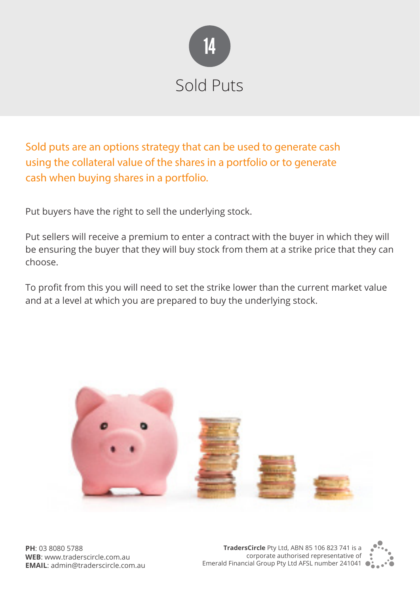

Sold puts are an options strategy that can be used to generate cash using the collateral value of the shares in a portfolio or to generate cash when buying shares in a portfolio.

Put buyers have the right to sell the underlying stock.

Put sellers will receive a premium to enter a contract with the buyer in which they will be ensuring the buyer that they will buy stock from them at a strike price that they can choose.

To profit from this you will need to set the strike lower than the current market value and at a level at which you are prepared to buy the underlying stock.



**TradersCircle** Pty Ltd, ABN 85 106 823 741 is a corporate authorised representative of Emerald Financial Group Pty Ltd AFSL number 241041

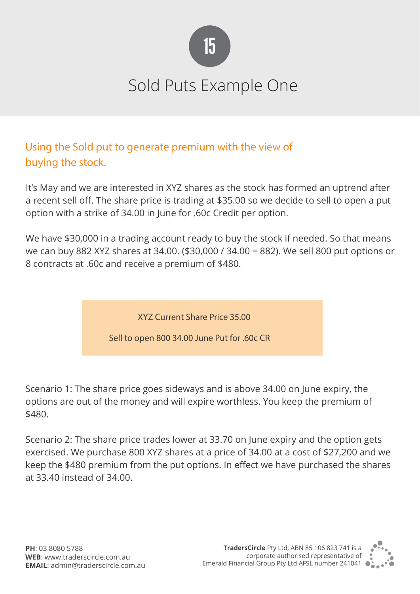

# Sold Puts Example One

Using the Sold put to generate premium with the view of buying the stock.

It's May and we are interested in XYZ shares as the stock has formed an uptrend after a recent sell off. The share price is trading at \$35.00 so we decide to sell to open a put option with a strike of 34.00 in June for .60c Credit per option.

We have \$30,000 in a trading account ready to buy the stock if needed. So that means we can buy 882 XYZ shares at 34.00. (\$30,000 / 34.00 = 882). We sell 800 put options or 8 contracts at .60c and receive a premium of \$480.

XYZ Current Share Price 35.00

Sell to open 800 34.00 June Put for .60c CR

Scenario 1: The share price goes sideways and is above 34.00 on June expiry, the options are out of the money and will expire worthless. You keep the premium of \$480.

Scenario 2: The share price trades lower at 33.70 on June expiry and the option gets exercised. We purchase 800 XYZ shares at a price of 34.00 at a cost of \$27,200 and we keep the \$480 premium from the put options. In effect we have purchased the shares at 33.40 instead of 34.00.

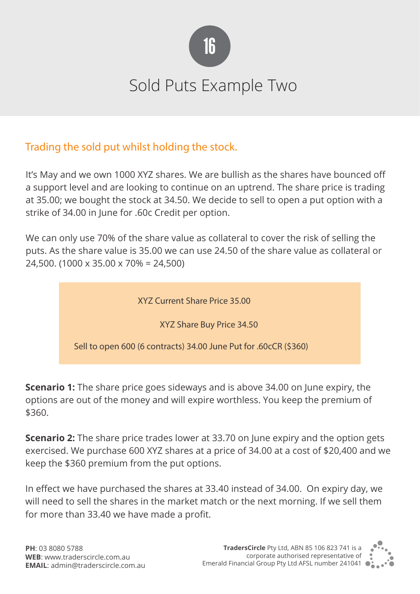

# Sold Puts Example Two

### Trading the sold put whilst holding the stock.

It's May and we own 1000 XYZ shares. We are bullish as the shares have bounced off a support level and are looking to continue on an uptrend. The share price is trading at 35.00; we bought the stock at 34.50. We decide to sell to open a put option with a strike of 34.00 in June for .60c Credit per option.

We can only use 70% of the share value as collateral to cover the risk of selling the puts. As the share value is 35.00 we can use 24.50 of the share value as collateral or 24,500. (1000 x 35.00 x 70% = 24,500)

XYZ Current Share Price 35.00

XYZ Share Buy Price 34.50

Sell to open 600 (6 contracts) 34.00 June Put for .60cCR (\$360)

**Scenario 1:** The share price goes sideways and is above 34.00 on June expiry, the options are out of the money and will expire worthless. You keep the premium of \$360.

**Scenario 2:** The share price trades lower at 33.70 on June expiry and the option gets exercised. We purchase 600 XYZ shares at a price of 34.00 at a cost of \$20,400 and we keep the \$360 premium from the put options.

In effect we have purchased the shares at 33.40 instead of 34.00. On expiry day, we will need to sell the shares in the market match or the next morning. If we sell them for more than 33.40 we have made a profit.

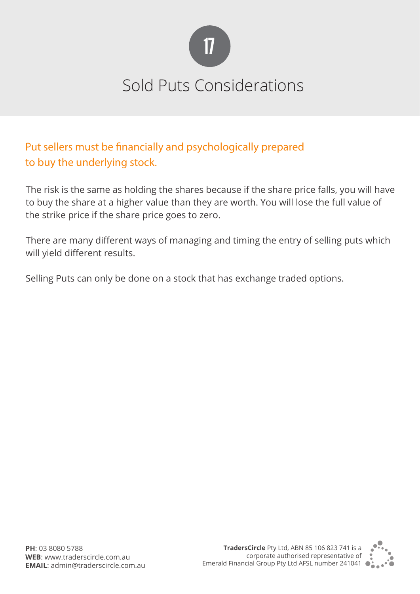

# Sold Puts Considerations

Put sellers must be financially and psychologically prepared to buy the underlying stock.

The risk is the same as holding the shares because if the share price falls, you will have to buy the share at a higher value than they are worth. You will lose the full value of the strike price if the share price goes to zero.

There are many different ways of managing and timing the entry of selling puts which will yield different results.

Selling Puts can only be done on a stock that has exchange traded options.

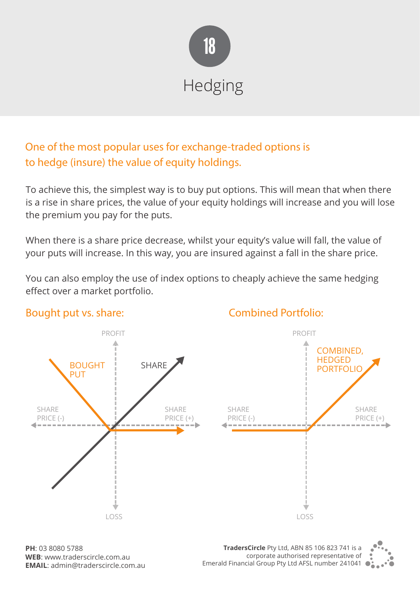

One of the most popular uses for exchange-traded options is to hedge (insure) the value of equity holdings.

To achieve this, the simplest way is to buy put options. This will mean that when there is a rise in share prices, the value of your equity holdings will increase and you will lose the premium you pay for the puts.

When there is a share price decrease, whilst your equity's value will fall, the value of your puts will increase. In this way, you are insured against a fall in the share price.

You can also employ the use of index options to cheaply achieve the same hedging effect over a market portfolio.



#### Bought put vs. share: Combined Portfolio:

**PH:** 03 8080 5788 **PH**: 03 8080 5788 **WEB:** www.traderscircle.com.au **WEB**: www.traderscircle.com.au **EMAIL:** admin@traderscircle.com.au **EMAIL**: admin@traderscircle.com.au

**TradersCircle** Pty Ltd, ABN 85 106 823 741 is a corporate authorised representative of Emerald Financial Group Pty Ltd AFSL number 241041

![](_page_19_Picture_9.jpeg)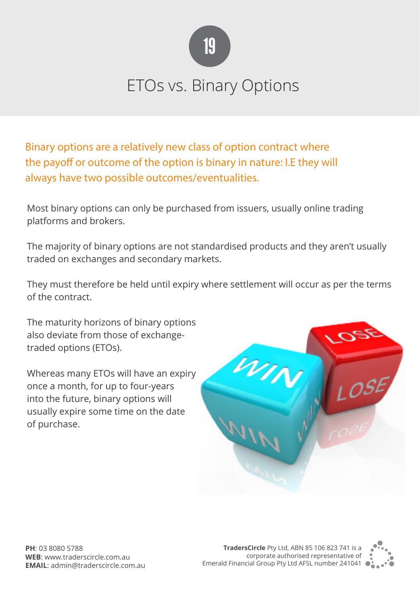![](_page_20_Picture_0.jpeg)

# ETOs vs. Binary Options

Binary options are a relatively new class of option contract where the payoff or outcome of the option is binary in nature: I.E they will always have two possible outcomes/eventualities.

Most binary options can only be purchased from issuers, usually online trading platforms and brokers.

The majority of binary options are not standardised products and they aren't usually traded on exchanges and secondary markets.

They must therefore be held until expiry where settlement will occur as per the terms of the contract.

The maturity horizons of binary options also deviate from those of exchangetraded options (ETOs).

Whereas many ETOs will have an expiry once a month, for up to four-years into the future, binary options will usually expire some time on the date of purchase.

![](_page_20_Picture_8.jpeg)

![](_page_20_Picture_11.jpeg)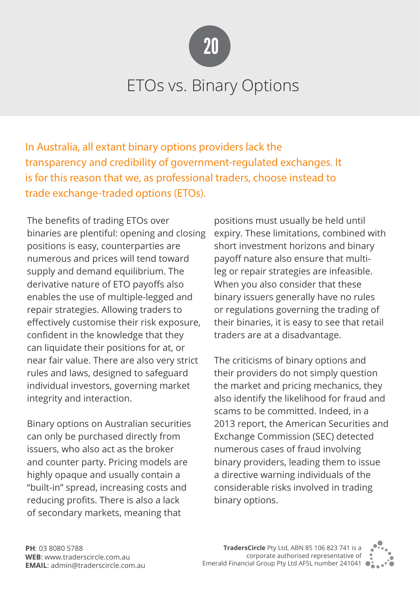![](_page_21_Picture_0.jpeg)

# ETOs vs. Binary Options

In Australia, all extant binary options providers lack the transparency and credibility of government-regulated exchanges. It is for this reason that we, as professional traders, choose instead to trade exchange-traded options (ETOs).

The benefits of trading ETOs over binaries are plentiful: opening and closing positions is easy, counterparties are numerous and prices will tend toward supply and demand equilibrium. The derivative nature of ETO payoffs also enables the use of multiple-legged and repair strategies. Allowing traders to effectively customise their risk exposure, confident in the knowledge that they can liquidate their positions for at, or near fair value. There are also very strict rules and laws, designed to safeguard individual investors, governing market integrity and interaction.

Binary options on Australian securities can only be purchased directly from issuers, who also act as the broker and counter party. Pricing models are highly opaque and usually contain a "built-in" spread, increasing costs and reducing profits. There is also a lack of secondary markets, meaning that

positions must usually be held until expiry. These limitations, combined with short investment horizons and binary payoff nature also ensure that multileg or repair strategies are infeasible. When you also consider that these binary issuers generally have no rules or regulations governing the trading of their binaries, it is easy to see that retail traders are at a disadvantage.

The criticisms of binary options and their providers do not simply question the market and pricing mechanics, they also identify the likelihood for fraud and scams to be committed. Indeed, in a 2013 report, the American Securities and Exchange Commission (SEC) detected numerous cases of fraud involving binary providers, leading them to issue a directive warning individuals of the considerable risks involved in trading binary options.

![](_page_21_Picture_9.jpeg)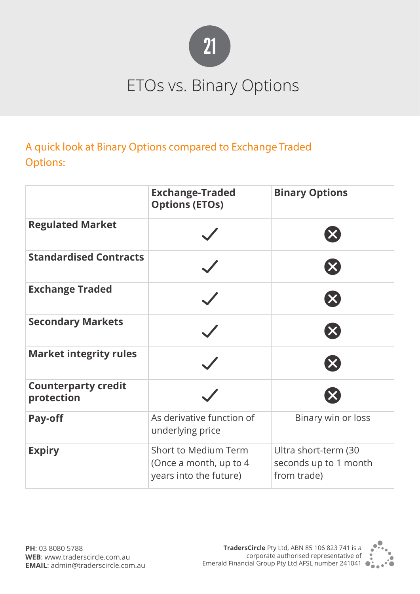![](_page_22_Picture_0.jpeg)

# ETOs vs. Binary Options

### A quick look at Binary Options compared to Exchange Traded Options:

|                                          | <b>Exchange-Traded</b><br><b>Options (ETOs)</b>                          | <b>Binary Options</b>                                        |
|------------------------------------------|--------------------------------------------------------------------------|--------------------------------------------------------------|
| <b>Regulated Market</b>                  |                                                                          | X                                                            |
| <b>Standardised Contracts</b>            |                                                                          | $\boldsymbol{\mathsf{X}}$                                    |
| <b>Exchange Traded</b>                   |                                                                          | $\bm{\times}$                                                |
| <b>Secondary Markets</b>                 |                                                                          | X                                                            |
| <b>Market integrity rules</b>            |                                                                          | X                                                            |
| <b>Counterparty credit</b><br>protection |                                                                          |                                                              |
| <b>Pay-off</b>                           | As derivative function of<br>underlying price                            | Binary win or loss                                           |
| <b>Expiry</b>                            | Short to Medium Term<br>(Once a month, up to 4<br>years into the future) | Ultra short-term (30<br>seconds up to 1 month<br>from trade) |

![](_page_22_Picture_6.jpeg)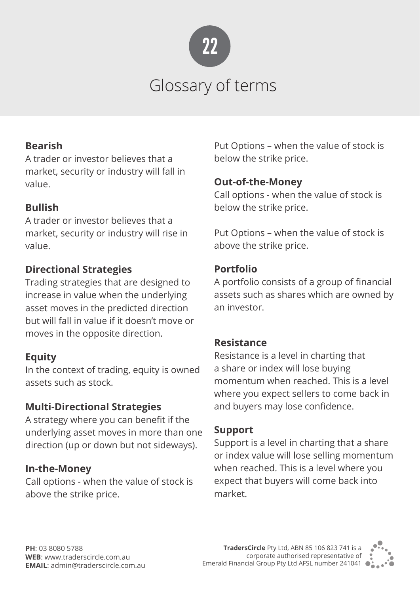![](_page_23_Picture_0.jpeg)

# Glossary of terms

### **Bearish**

A trader or investor believes that a market, security or industry will fall in value.

### **Bullish**

A trader or investor believes that a market, security or industry will rise in value.

### **Directional Strategies**

Trading strategies that are designed to increase in value when the underlying asset moves in the predicted direction but will fall in value if it doesn't move or moves in the opposite direction.

### **Equity**

In the context of trading, equity is owned assets such as stock.

### **Multi-Directional Strategies**

A strategy where you can benefit if the underlying asset moves in more than one direction (up or down but not sideways).

### **In-the-Money**

Call options - when the value of stock is above the strike price.

Put Options – when the value of stock is below the strike price.

### **Out-of-the-Money**

Call options - when the value of stock is below the strike price.

Put Options – when the value of stock is above the strike price.

### **Portfolio**

A portfolio consists of a group of financial assets such as shares which are owned by an investor.

### **Resistance**

Resistance is a level in charting that a share or index will lose buying momentum when reached. This is a level where you expect sellers to come back in and buyers may lose confidence.

#### **Support**

Support is a level in charting that a share or index value will lose selling momentum when reached. This is a level where you expect that buyers will come back into market.

![](_page_23_Picture_26.jpeg)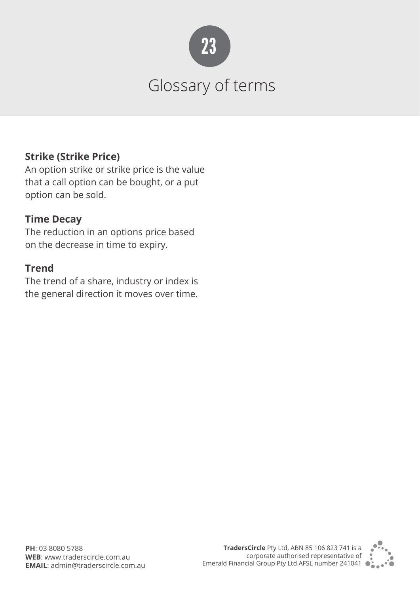![](_page_24_Picture_0.jpeg)

# Glossary of terms

### **Strike (Strike Price)**

An option strike or strike price is the value that a call option can be bought, or a put option can be sold.

#### **Time Decay**

The reduction in an options price based on the decrease in time to expiry.

#### **Trend**

The trend of a share, industry or index is the general direction it moves over time.

![](_page_24_Picture_10.jpeg)